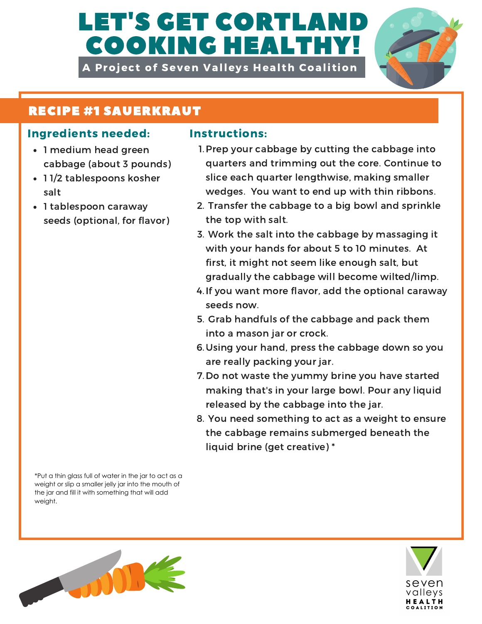# LET'S GET CORTLA **COOKING HEALT**

A Project of Seven Valleys Health Coalition



## RECIPE #1 SAUERKRAUT

### Ingredients needed: Instructions:

- 1 medium head green cabbage (about 3 pounds)
- 11/2 tablespoons kosher salt
- 1 tablespoon caraway seeds (optional, for flavor)

- 1. Prep your cabbage by cutting the cabbage into quarters and trimming out the core. Continue to slice each quarter lengthwise, making smaller wedges. You want to end up with thin ribbons.
- 2. Transfer the cabbage to a big bowl and sprinkle the top with salt.
- Work the salt into the cabbage by massaging it 3. with your hands for about 5 to 10 minutes. At first, it might not seem like enough salt, but gradually the cabbage will become wilted/limp.
- 4. If you want more flavor, add the optional caraway seeds now.
- 5. Grab handfuls of the cabbage and pack them into a mason jar or crock.
- 6. Using your hand, press the cabbage down so you are really packing your jar.
- 7. Do not waste the yummy brine you have started making that's in your large bowl. Pour any liquid released by the cabbage into the jar.
- 8. You need something to act as a weight to ensure the cabbage remains submerged beneath the liquid brine (get creative) \*

\*Put a thin glass full of water in the jar to act as a weight or slip a smaller jelly jar into the mouth of the jar and fill it with something that will add weight.



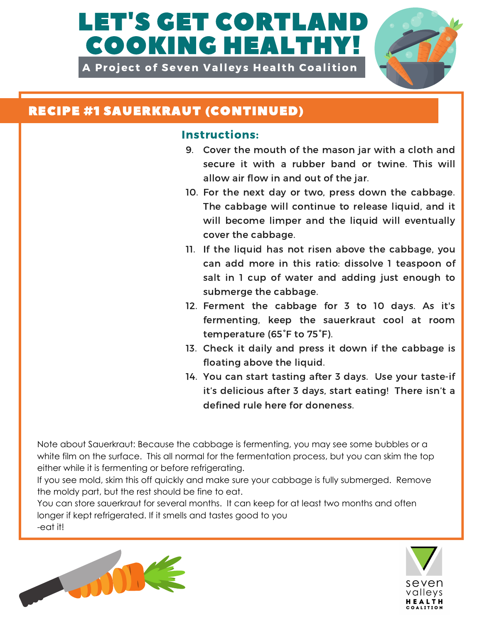# LET'S GET CORTLANI COOKING HEALTHY!

A Project of Seven Valleys Health Coalition



## RECIPE #1 SAUERKRAUT (CONTINUED)

### Instructions:

- 9. Cover the mouth of the mason jar with a cloth and secure it with a rubber band or twine. This will allow air flow in and out of the jar.
- 10. For the next day or two, press down the cabbage. The cabbage will continue to release liquid, and it will become limper and the liquid will eventually cover the cabbage.
- If the liquid has not risen above the cabbage, you 11. can add more in this ratio: dissolve 1 teaspoon of salt in 1 cup of water and adding just enough to submerge the cabbage.
- 12. Ferment the cabbage for 3 to 10 days. As it's fermenting, keep the sauerkraut cool at room temperature (65°F to 75°F).
- 13. Check it daily and press it down if the cabbage is floating above the liquid.
- 14. You can start tasting after 3 days. Use your taste-if it's delicious after 3 days, start eating! There isn't a defined rule here for doneness.

Note about Sauerkraut: Because the cabbage is fermenting, you may see some bubbles or a white film on the surface. This all normal for the fermentation process, but you can skim the top either while it is fermenting or before refrigerating.

If you see mold, skim this off quickly and make sure your cabbage is fully submerged. Remove the moldy part, but the rest should be fine to eat.

You can store sauerkraut for several months. It can keep for at least two months and often longer if kept refrigerated. If it smells and tastes good to you -eat it!



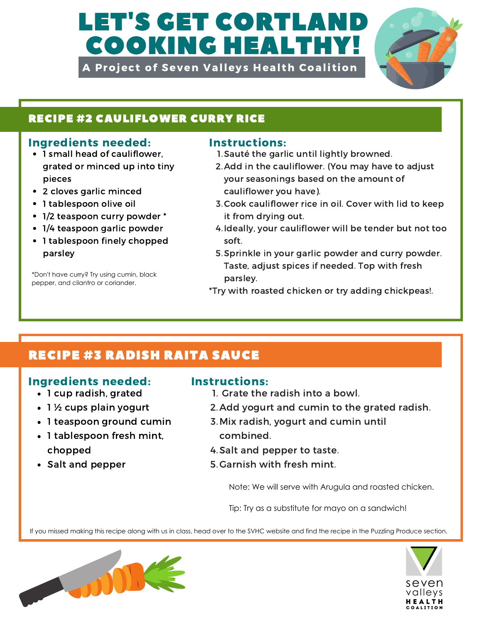# LET'S GET CORTLA COOKING HEALTHY!

A Project of Seven Valleys Health Coalition



### RECIPE #2 CAULIFLOWER CURRY RICE

### Ingredients needed: Instructions:

- 1 small head of cauliflower, grated or minced up into tiny pieces
- 2 cloves garlic minced
- 1 tablespoon olive oil
- 1/2 teaspoon curry powder \*
- 1/4 teaspoon garlic powder
- 1 tablespoon finely chopped parsley

\*Don't have curry? Try using cumin, black pepper, and cilantro or coriander.

- 1. Sauté the garlic until lightly browned.
- 2. Add in the cauliflower. (You may have to adjust your seasonings based on the amount of cauliflower you have).
- 3. Cook cauliflower rice in oil. Cover with lid to keep it from drying out.
- 4. Ideally, your cauliflower will be tender but not too soft.
- 5. Sprinkle in your garlic powder and curry powder. Taste, adjust spices if needed. Top with fresh parsley.
- \*Try with roasted chicken or try adding chickpeas!.

## RECIPE #3 RADISH RAITA SAUCE

### Ingredients needed: Instructions:

- 1 cup radish, grated
- $\cdot$  1  $\frac{1}{2}$  cups plain yogurt
- 1 teaspoon ground cumin
- 1 tablespoon fresh mint, chopped
- Salt and pepper

- 1. Grate the radish into a bowl.
- 2. Add yogurt and cumin to the grated radish.
- 3. Mix radish, yogurt and cumin until combined.
- 4. Salt and pepper to taste.
- 5. Garnish with fresh mint.

Note: We will serve with Arugula and roasted chicken.

Tip: Try as a substitute for mayo on a sandwich!

[If you missed making this recipe along with us in class, head over to the SVHC website and find the recipe in the Puzzling Produce section.](https://www.sevenvalleyshealth.org/puzzling-produce)